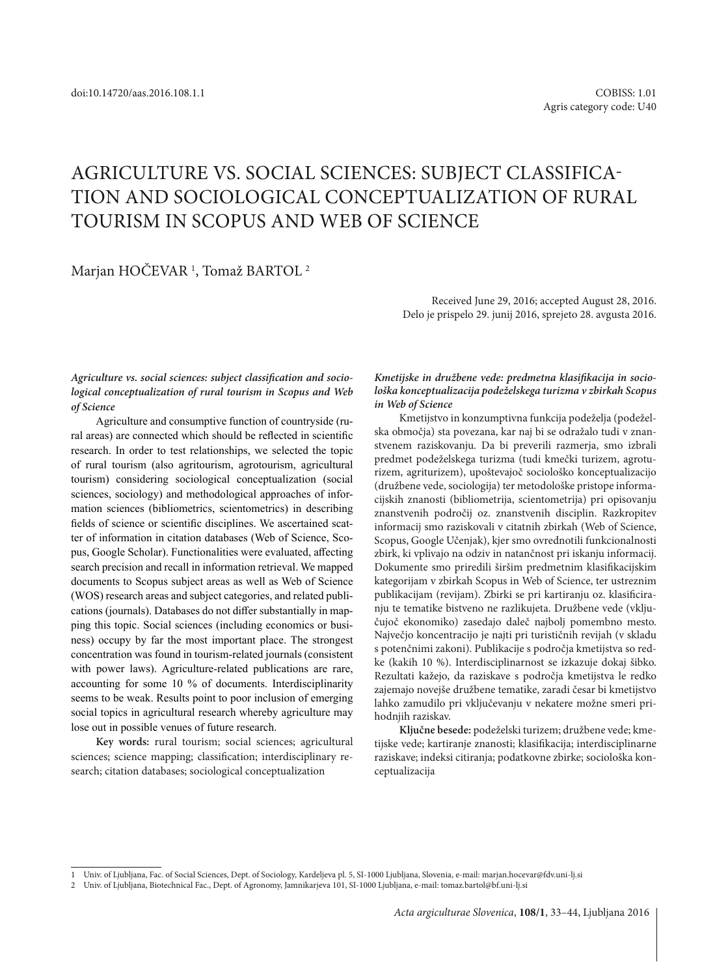# AGRICULTURE VS. SOCIAL SCIENCES: SUBJECT CLASSIFICA-TION AND SOCIOLOGICAL CONCEPTUALIZATION OF RURAL TOURISM IN SCOPUS AND WEB OF SCIENCE

## Marjan HOČEVAR<sup>1</sup>, Tomaž BARTOL<sup>2</sup>

Received June 29, 2016; accepted August 28, 2016. Delo je prispelo 29. junij 2016, sprejeto 28. avgusta 2016.

*Agriculture vs. social sciences: subject classification and sociological conceptualization of rural tourism in Scopus and Web of Science*

Agriculture and consumptive function of countryside (rural areas) are connected which should be reflected in scientific research. In order to test relationships, we selected the topic of rural tourism (also agritourism, agrotourism, agricultural tourism) considering sociological conceptualization (social sciences, sociology) and methodological approaches of information sciences (bibliometrics, scientometrics) in describing fields of science or scientific disciplines. We ascertained scatter of information in citation databases (Web of Science, Scopus, Google Scholar). Functionalities were evaluated, affecting search precision and recall in information retrieval. We mapped documents to Scopus subject areas as well as Web of Science (WOS) research areas and subject categories, and related publications (journals). Databases do not differ substantially in mapping this topic. Social sciences (including economics or business) occupy by far the most important place. The strongest concentration was found in tourism-related journals (consistent with power laws). Agriculture-related publications are rare, accounting for some 10 % of documents. Interdisciplinarity seems to be weak. Results point to poor inclusion of emerging social topics in agricultural research whereby agriculture may lose out in possible venues of future research.

**Key words:** rural tourism; social sciences; agricultural sciences; science mapping; classification; interdisciplinary research; citation databases; sociological conceptualization

*Kmetijske in družbene vede: predmetna klasifikacija in sociološka konceptualizacija podeželskega turizma v zbirkah Scopus in Web of Science*

Kmetijstvo in konzumptivna funkcija podeželja (podeželska območja) sta povezana, kar naj bi se odražalo tudi v znanstvenem raziskovanju. Da bi preverili razmerja, smo izbrali predmet podeželskega turizma (tudi kmečki turizem, agroturizem, agriturizem), upoštevajoč sociološko konceptualizacijo (družbene vede, sociologija) ter metodološke pristope informacijskih znanosti (bibliometrija, scientometrija) pri opisovanju znanstvenih področij oz. znanstvenih disciplin. Razkropitev informacij smo raziskovali v citatnih zbirkah (Web of Science, Scopus, Google Učenjak), kjer smo ovrednotili funkcionalnosti zbirk, ki vplivajo na odziv in natančnost pri iskanju informacij. Dokumente smo priredili širšim predmetnim klasifikacijskim kategorijam v zbirkah Scopus in Web of Science, ter ustreznim publikacijam (revijam). Zbirki se pri kartiranju oz. klasificiranju te tematike bistveno ne razlikujeta. Družbene vede (vključujoč ekonomiko) zasedajo daleč najbolj pomembno mesto. Največjo koncentracijo je najti pri turističnih revijah (v skladu s potenčnimi zakoni). Publikacije s področja kmetijstva so redke (kakih 10 %). Interdisciplinarnost se izkazuje dokaj šibko. Rezultati kažejo, da raziskave s področja kmetijstva le redko zajemajo novejše družbene tematike, zaradi česar bi kmetijstvo lahko zamudilo pri vključevanju v nekatere možne smeri prihodniih raziskav.

**Ključne besede:** podeželski turizem; družbene vede; kmetijske vede; kartiranje znanosti; klasifikacija; interdisciplinarne raziskave; indeksi citiranja; podatkovne zbirke; sociološka konceptualizacija

<sup>1</sup> Univ. of Ljubljana, Fac. of Social Sciences, Dept. of Sociology, Kardeljeva pl. 5, SI-1000 Ljubljana, Slovenia, e-mail: marjan.hocevar@fdv.uni-lj.si

<sup>2</sup> Univ. of Ljubljana, Biotechnical Fac., Dept. of Agronomy, Jamnikarjeva 101, SI-1000 Ljubljana, e-mail: tomaz.bartol@bf.uni-lj.si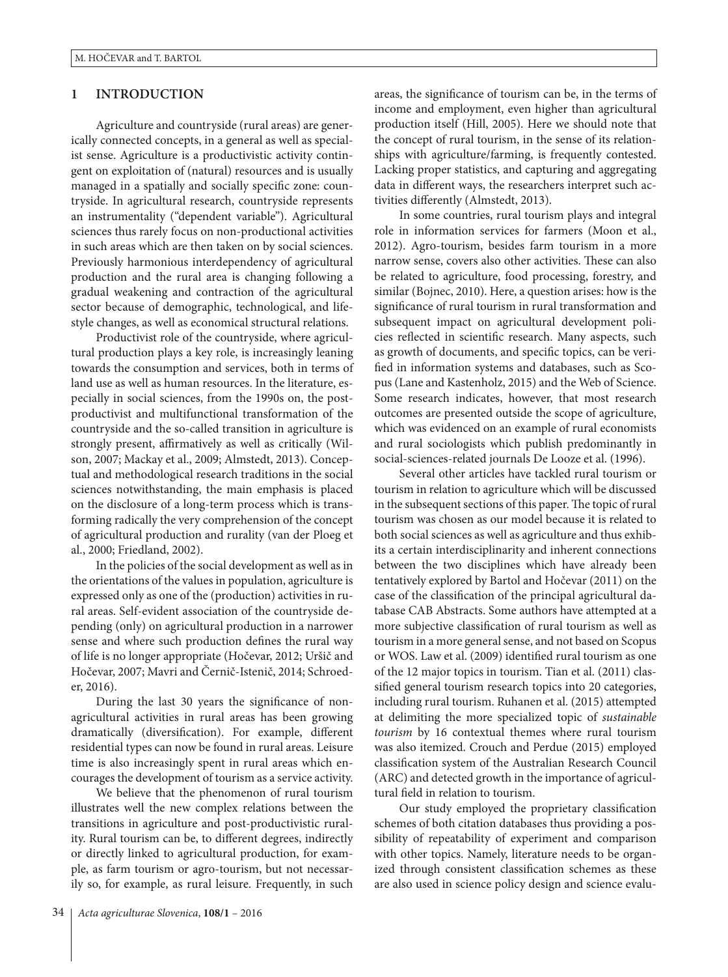## **1 INTRODUCTION**

Agriculture and countryside (rural areas) are generically connected concepts, in a general as well as specialist sense. Agriculture is a productivistic activity contingent on exploitation of (natural) resources and is usually managed in a spatially and socially specific zone: countryside. In agricultural research, countryside represents an instrumentality ("dependent variable"). Agricultural sciences thus rarely focus on non-productional activities in such areas which are then taken on by social sciences. Previously harmonious interdependency of agricultural production and the rural area is changing following a gradual weakening and contraction of the agricultural sector because of demographic, technological, and lifestyle changes, as well as economical structural relations.

Productivist role of the countryside, where agricultural production plays a key role, is increasingly leaning towards the consumption and services, both in terms of land use as well as human resources. In the literature, especially in social sciences, from the 1990s on, the postproductivist and multifunctional transformation of the countryside and the so-called transition in agriculture is strongly present, affirmatively as well as critically (Wilson, 2007; Mackay et al., 2009; Almstedt, 2013). Conceptual and methodological research traditions in the social sciences notwithstanding, the main emphasis is placed on the disclosure of a long-term process which is transforming radically the very comprehension of the concept of agricultural production and rurality (van der Ploeg et al., 2000; Friedland, 2002).

In the policies of the social development as well as in the orientations of the values in population, agriculture is expressed only as one of the (production) activities in rural areas. Self-evident association of the countryside depending (only) on agricultural production in a narrower sense and where such production defines the rural way of life is no longer appropriate (Hočevar, 2012; Uršič and Hočevar, 2007; Mavri and Černič-Istenič, 2014; Schroeder, 2016).

During the last 30 years the significance of nonagricultural activities in rural areas has been growing dramatically (diversification). For example, different residential types can now be found in rural areas. Leisure time is also increasingly spent in rural areas which encourages the development of tourism as a service activity.

We believe that the phenomenon of rural tourism illustrates well the new complex relations between the transitions in agriculture and post-productivistic rurality. Rural tourism can be, to different degrees, indirectly or directly linked to agricultural production, for example, as farm tourism or agro-tourism, but not necessarily so, for example, as rural leisure. Frequently, in such areas, the significance of tourism can be, in the terms of income and employment, even higher than agricultural production itself (Hill, 2005). Here we should note that the concept of rural tourism, in the sense of its relationships with agriculture/farming, is frequently contested. Lacking proper statistics, and capturing and aggregating data in different ways, the researchers interpret such activities differently (Almstedt, 2013).

In some countries, rural tourism plays and integral role in information services for farmers (Moon et al., 2012). Agro-tourism, besides farm tourism in a more narrow sense, covers also other activities. These can also be related to agriculture, food processing, forestry, and similar (Bojnec, 2010). Here, a question arises: how is the significance of rural tourism in rural transformation and subsequent impact on agricultural development policies reflected in scientific research. Many aspects, such as growth of documents, and specific topics, can be verified in information systems and databases, such as Scopus (Lane and Kastenholz, 2015) and the Web of Science. Some research indicates, however, that most research outcomes are presented outside the scope of agriculture, which was evidenced on an example of rural economists and rural sociologists which publish predominantly in social-sciences-related journals De Looze et al. (1996).

Several other articles have tackled rural tourism or tourism in relation to agriculture which will be discussed in the subsequent sections of this paper. The topic of rural tourism was chosen as our model because it is related to both social sciences as well as agriculture and thus exhibits a certain interdisciplinarity and inherent connections between the two disciplines which have already been tentatively explored by Bartol and Hočevar (2011) on the case of the classification of the principal agricultural database CAB Abstracts. Some authors have attempted at a more subjective classification of rural tourism as well as tourism in a more general sense, and not based on Scopus or WOS. Law et al. (2009) identified rural tourism as one of the 12 major topics in tourism. Tian et al. (2011) classified general tourism research topics into 20 categories, including rural tourism. Ruhanen et al. (2015) attempted at delimiting the more specialized topic of *sustainable tourism* by 16 contextual themes where rural tourism was also itemized. Crouch and Perdue (2015) employed classification system of the Australian Research Council (ARC) and detected growth in the importance of agricultural field in relation to tourism.

Our study employed the proprietary classification schemes of both citation databases thus providing a possibility of repeatability of experiment and comparison with other topics. Namely, literature needs to be organized through consistent classification schemes as these are also used in science policy design and science evalu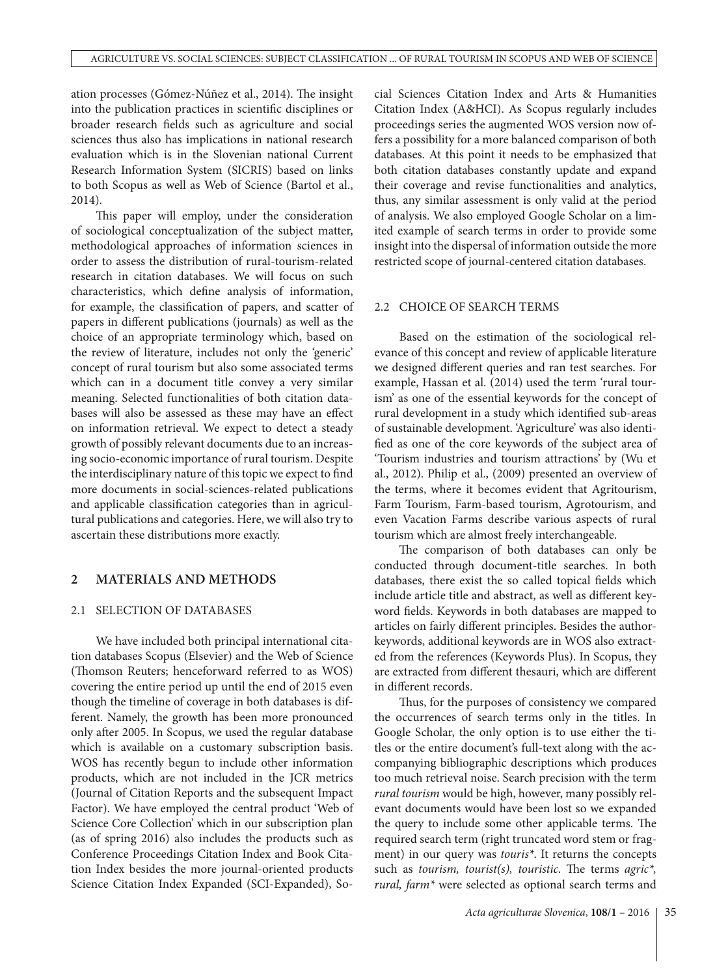ation processes (Gómez-Núñez et al., 2014). The insight into the publication practices in scientific disciplines or broader research fields such as agriculture and social sciences thus also has implications in national research evaluation which is in the Slovenian national Current Research Information System (SICRIS) based on links to both Scopus as well as Web of Science (Bartol et al., 2014).

This paper will employ, under the consideration of sociological conceptualization of the subject matter, methodological approaches of information sciences in order to assess the distribution of rural-tourism-related research in citation databases. We will focus on such characteristics, which define analysis of information, for example, the classification of papers, and scatter of papers in different publications (journals) as well as the choice of an appropriate terminology which, based on the review of literature, includes not only the 'generic' concept of rural tourism but also some associated terms which can in a document title convey a very similar meaning. Selected functionalities of both citation databases will also be assessed as these may have an effect on information retrieval. We expect to detect a steady growth of possibly relevant documents due to an increasing socio-economic importance of rural tourism. Despite the interdisciplinary nature of this topic we expect to find more documents in social-sciences-related publications and applicable classification categories than in agricultural publications and categories. Here, we will also try to ascertain these distributions more exactly.

## **2 MATERIALS AND METHODS**

## 2.1 SELECTION OF DATABASES

We have included both principal international citation databases Scopus (Elsevier) and the Web of Science (Thomson Reuters; henceforward referred to as WOS) covering the entire period up until the end of 2015 even though the timeline of coverage in both databases is different. Namely, the growth has been more pronounced only after 2005. In Scopus, we used the regular database which is available on a customary subscription basis. WOS has recently begun to include other information products, which are not included in the JCR metrics (Journal of Citation Reports and the subsequent Impact Factor). We have employed the central product 'Web of Science Core Collection' which in our subscription plan (as of spring 2016) also includes the products such as Conference Proceedings Citation Index and Book Citation Index besides the more journal-oriented products Science Citation Index Expanded (SCI-Expanded), Social Sciences Citation Index and Arts & Humanities Citation Index (A&HCI). As Scopus regularly includes proceedings series the augmented WOS version now offers a possibility for a more balanced comparison of both databases. At this point it needs to be emphasized that both citation databases constantly update and expand their coverage and revise functionalities and analytics, thus, any similar assessment is only valid at the period of analysis. We also employed Google Scholar on a limited example of search terms in order to provide some insight into the dispersal of information outside the more restricted scope of journal-centered citation databases.

## 2.2 CHOICE OF SEARCH TERMS

Based on the estimation of the sociological relevance of this concept and review of applicable literature we designed different queries and ran test searches. For example, Hassan et al. (2014) used the term 'rural tourism' as one of the essential keywords for the concept of rural development in a study which identified sub-areas of sustainable development. 'Agriculture' was also identified as one of the core keywords of the subject area of 'Tourism industries and tourism attractions' by (Wu et al., 2012). Philip et al., (2009) presented an overview of the terms, where it becomes evident that Agritourism, Farm Tourism, Farm-based tourism, Agrotourism, and even Vacation Farms describe various aspects of rural tourism which are almost freely interchangeable.

The comparison of both databases can only be conducted through document-title searches. In both databases, there exist the so called topical fields which include article title and abstract, as well as different keyword fields. Keywords in both databases are mapped to articles on fairly different principles. Besides the authorkeywords, additional keywords are in WOS also extracted from the references (Keywords Plus). In Scopus, they are extracted from different thesauri, which are different in different records.

Thus, for the purposes of consistency we compared the occurrences of search terms only in the titles. In Google Scholar, the only option is to use either the titles or the entire document's full-text along with the accompanying bibliographic descriptions which produces too much retrieval noise. Search precision with the term *rural tourism* would be high, however, many possibly relevant documents would have been lost so we expanded the query to include some other applicable terms. The required search term (right truncated word stem or fragment) in our query was *touris\**. It returns the concepts such as *tourism, tourist(s), touristic*. The terms *agric\*, rural, farm\** were selected as optional search terms and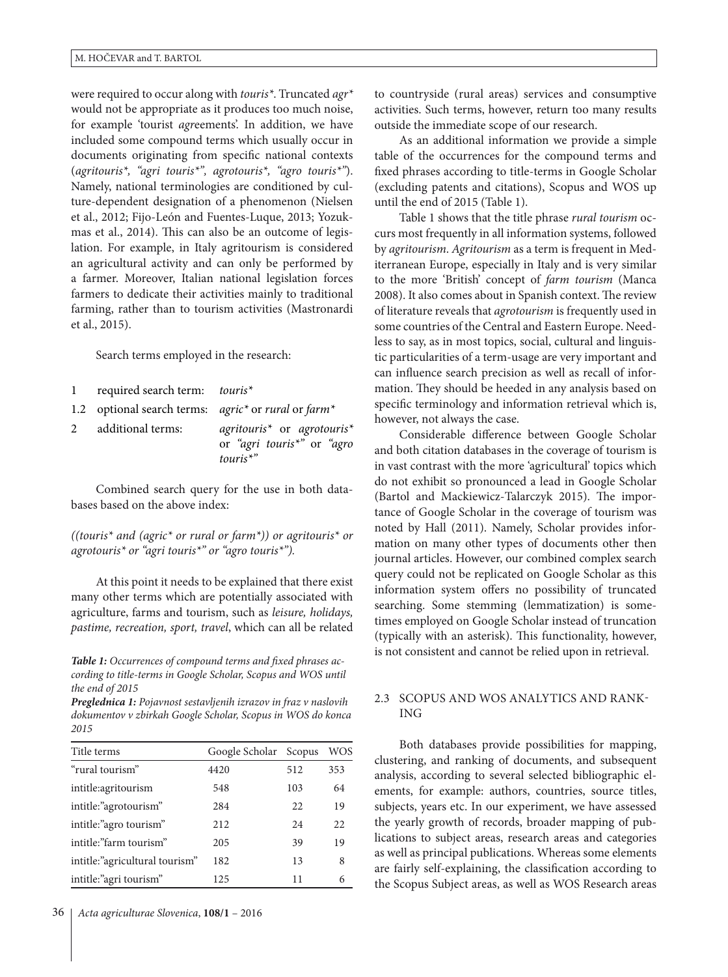were required to occur along with *touris\**. Truncated *agr\** would not be appropriate as it produces too much noise, for example 'tourist *agr*eements'. In addition, we have included some compound terms which usually occur in documents originating from specific national contexts (*agritouris\*, "agri touris\*", agrotouris\*, "agro touris\*"*). Namely, national terminologies are conditioned by culture-dependent designation of a phenomenon (Nielsen et al., 2012; Fijo-León and Fuentes-Luque, 2013; Yozukmas et al., 2014). This can also be an outcome of legislation. For example, in Italy agritourism is considered an agricultural activity and can only be performed by a farmer. Moreover, Italian national legislation forces farmers to dedicate their activities mainly to traditional farming, rather than to tourism activities (Mastronardi et al., 2015).

Search terms employed in the research:

| 1           | required search term: <i>touris</i> <sup>*</sup> |                                                                                                            |
|-------------|--------------------------------------------------|------------------------------------------------------------------------------------------------------------|
|             |                                                  | 1.2 optional search terms: $agric^*$ or rural or farm*                                                     |
| $2^{\circ}$ | additional terms:                                | agritouris <sup>*</sup> or agrotouris <sup>*</sup><br>or "agri touris <sup>*"</sup> or "agro<br>$touris^*$ |

Combined search query for the use in both databases based on the above index:

*((touris\* and (agric\* or rural or farm\*)) or agritouris\* or agrotouris\* or "agri touris\*" or "agro touris\*").*

At this point it needs to be explained that there exist many other terms which are potentially associated with agriculture, farms and tourism, such as *leisure, holidays, pastime, recreation, sport, travel*, which can all be related

*Table 1: Occurrences of compound terms and fixed phrases according to title-terms in Google Scholar, Scopus and WOS until the end of 2015*

*Preglednica 1: Pojavnost sestavljenih izrazov in fraz v naslovih dokumentov v zbirkah Google Scholar, Scopus in WOS do konca 2015*

| Title terms                    | Google Scholar Scopus |     | WOS |
|--------------------------------|-----------------------|-----|-----|
| "rural tourism"                | 4420                  | 512 | 353 |
| intitle:agritourism            | 548                   | 103 | 64  |
| intitle:"agrotourism"          | 284                   | 22  | 19  |
| intitle:"agro tourism"         | 212                   | 24  | 22  |
| intitle:"farm tourism"         | 205                   | 39  | 19  |
| intitle:"agricultural tourism" | 182                   | 13  | 8   |
| intitle:"agri tourism"         | 125                   | 11  | 6   |

to countryside (rural areas) services and consumptive activities. Such terms, however, return too many results outside the immediate scope of our research.

As an additional information we provide a simple table of the occurrences for the compound terms and fixed phrases according to title-terms in Google Scholar (excluding patents and citations), Scopus and WOS up until the end of 2015 (Table 1).

Table 1 shows that the title phrase *rural tourism* occurs most frequently in all information systems, followed by *agritourism*. *Agritourism* as a term is frequent in Mediterranean Europe, especially in Italy and is very similar to the more 'British' concept of *farm tourism* (Manca 2008). It also comes about in Spanish context. The review of literature reveals that *agrotourism* is frequently used in some countries of the Central and Eastern Europe. Needless to say, as in most topics, social, cultural and linguistic particularities of a term-usage are very important and can influence search precision as well as recall of information. They should be heeded in any analysis based on specific terminology and information retrieval which is, however, not always the case.

Considerable difference between Google Scholar and both citation databases in the coverage of tourism is in vast contrast with the more 'agricultural' topics which do not exhibit so pronounced a lead in Google Scholar (Bartol and Mackiewicz-Talarczyk 2015). The importance of Google Scholar in the coverage of tourism was noted by Hall (2011). Namely, Scholar provides information on many other types of documents other then journal articles. However, our combined complex search query could not be replicated on Google Scholar as this information system offers no possibility of truncated searching. Some stemming (lemmatization) is sometimes employed on Google Scholar instead of truncation (typically with an asterisk). This functionality, however, is not consistent and cannot be relied upon in retrieval.

## 2.3 SCOPUS AND WOS ANALYTICS AND RANK-ING

Both databases provide possibilities for mapping, clustering, and ranking of documents, and subsequent analysis, according to several selected bibliographic elements, for example: authors, countries, source titles, subjects, years etc. In our experiment, we have assessed the yearly growth of records, broader mapping of publications to subject areas, research areas and categories as well as principal publications. Whereas some elements are fairly self-explaining, the classification according to the Scopus Subject areas, as well as WOS Research areas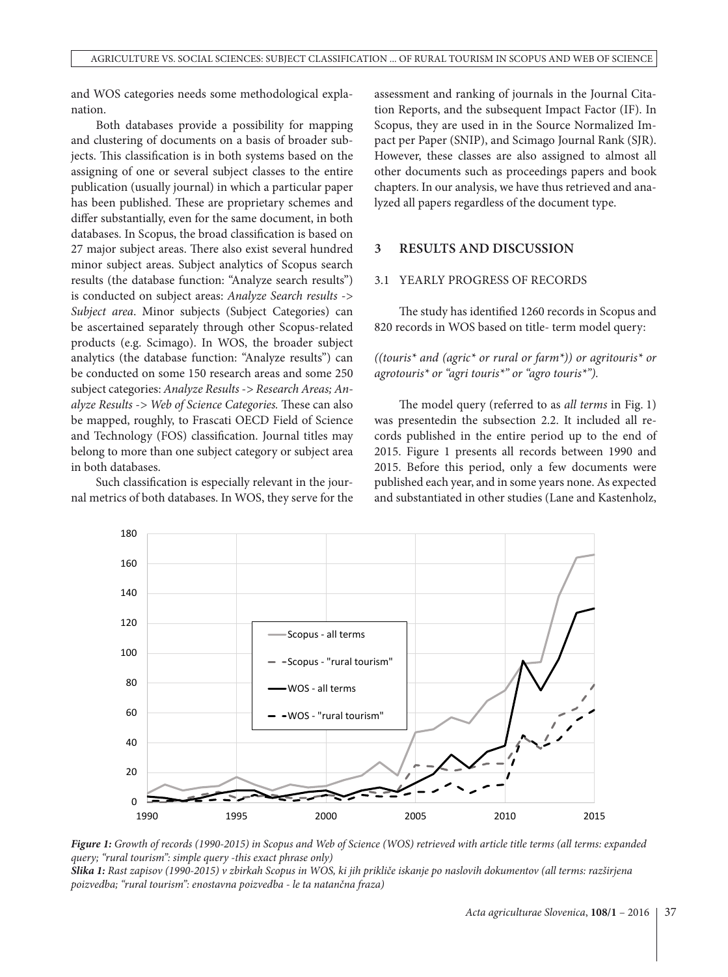and WOS categories needs some methodological explanation.

Both databases provide a possibility for mapping and clustering of documents on a basis of broader subjects. This classification is in both systems based on the assigning of one or several subject classes to the entire publication (usually journal) in which a particular paper has been published. These are proprietary schemes and differ substantially, even for the same document, in both databases. In Scopus, the broad classification is based on 27 major subject areas. There also exist several hundred minor subject areas. Subject analytics of Scopus search results (the database function: "Analyze search results") is conducted on subject areas: *Analyze Search results -> Subject area*. Minor subjects (Subject Categories) can be ascertained separately through other Scopus-related products (e.g. Scimago). In WOS, the broader subject analytics (the database function: "Analyze results") can be conducted on some 150 research areas and some 250 subject categories: *Analyze Results -> Research Areas; Analyze Results -> Web of Science Categories.* These can also be mapped, roughly, to Frascati OECD Field of Science and Technology (FOS) classification. Journal titles may belong to more than one subject category or subject area in both databases.

Such classification is especially relevant in the journal metrics of both databases. In WOS, they serve for the assessment and ranking of journals in the Journal Citation Reports, and the subsequent Impact Factor (IF). In Scopus, they are used in in the Source Normalized Impact per Paper (SNIP), and Scimago Journal Rank (SJR). However, these classes are also assigned to almost all other documents such as proceedings papers and book chapters. In our analysis, we have thus retrieved and analyzed all papers regardless of the document type.

## **3 RESULTS AND DISCUSSION**

## 3.1 YEARLY PROGRESS OF RECORDS

The study has identified 1260 records in Scopus and 820 records in WOS based on title- term model query:

*((touris\* and (agric\* or rural or farm\*)) or agritouris\* or agrotouris\* or "agri touris\*" or "agro touris\*").*

The model query (referred to as *all terms* in Fig. 1) was presentedin the subsection 2.2. It included all records published in the entire period up to the end of 2015. Figure 1 presents all records between 1990 and 2015. Before this period, only a few documents were published each year, and in some years none. As expected and substantiated in other studies (Lane and Kastenholz,



*Figure 1: Growth of records (1990-2015) in Scopus and Web of Science (WOS) retrieved with article title terms (all terms: expanded query; "rural tourism": simple query -this exact phrase only) Slika 1: Rast zapisov (1990-2015) v zbirkah Scopus in WOS, ki jih prikliče iskanje po naslovih dokumentov (all terms: razširjena poizvedba; "rural tourism": enostavna poizvedba - le ta natančna fraza)*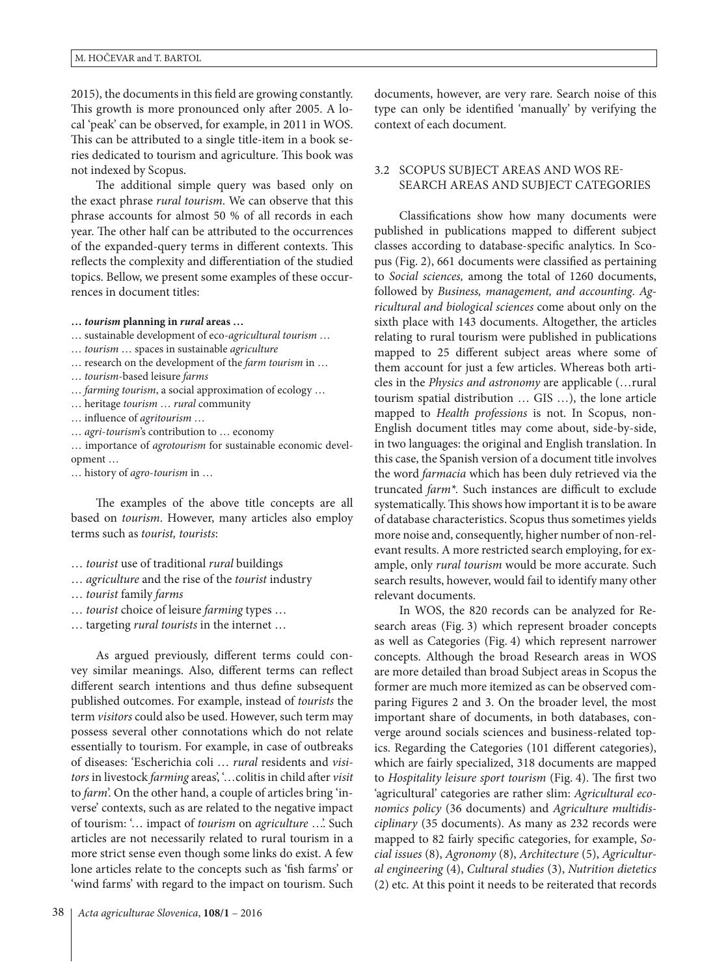2015), the documents in this field are growing constantly. This growth is more pronounced only after 2005. A local 'peak' can be observed, for example, in 2011 in WOS. This can be attributed to a single title-item in a book series dedicated to tourism and agriculture. This book was not indexed by Scopus.

The additional simple query was based only on the exact phrase *rural tourism*. We can observe that this phrase accounts for almost 50 % of all records in each year. The other half can be attributed to the occurrences of the expanded-query terms in different contexts. This reflects the complexity and differentiation of the studied topics. Bellow, we present some examples of these occurrences in document titles:

**…** *tourism* **planning in** *rural* **areas …**

- … sustainable development of eco-*agricultural tourism* …
- … *tourism* … spaces in sustainable *agriculture*
- … research on the development of the *farm tourism* in …
- … *tourism*-based leisure *farms*
- … *farming tourism*, a social approximation of ecology …
- … heritage *tourism* … *rural* community
- … influence of *agritourism* …
- … *agri*-*tourism*'s contribution to … economy
- … importance of *agrotourism* for sustainable economic development …
- … history of *agro*-*tourism* in …

The examples of the above title concepts are all based on *tourism*. However, many articles also employ terms such as *tourist, tourists*:

- … *tourist* use of traditional *rural* buildings
- … *agriculture* and the rise of the *tourist* industry
- … *tourist* family *farms*
- … *tourist* choice of leisure *farming* types …
- … targeting *rural tourists* in the internet …

As argued previously, different terms could convey similar meanings. Also, different terms can reflect different search intentions and thus define subsequent published outcomes. For example, instead of *tourists* the term *visitors* could also be used. However, such term may possess several other connotations which do not relate essentially to tourism. For example, in case of outbreaks of diseases: 'Escherichia coli … *rural* residents and *visitors* in livestock *farming* areas', '…colitis in child after *visit* to *farm*'. On the other hand, a couple of articles bring 'inverse' contexts, such as are related to the negative impact of tourism: '… impact of *tourism* on *agriculture* …'. Such articles are not necessarily related to rural tourism in a more strict sense even though some links do exist. A few lone articles relate to the concepts such as 'fish farms' or 'wind farms' with regard to the impact on tourism. Such documents, however, are very rare. Search noise of this type can only be identified 'manually' by verifying the context of each document.

## 3.2 SCOPUS SUBJECT AREAS AND WOS RE-SEARCH AREAS AND SUBJECT CATEGORIES

Classifications show how many documents were published in publications mapped to different subject classes according to database-specific analytics. In Scopus (Fig. 2), 661 documents were classified as pertaining to *Social sciences,* among the total of 1260 documents, followed by *Business, management, and accounting*. *Agricultural and biological sciences* come about only on the sixth place with 143 documents. Altogether, the articles relating to rural tourism were published in publications mapped to 25 different subject areas where some of them account for just a few articles. Whereas both articles in the *Physics and astronomy* are applicable (…rural tourism spatial distribution … GIS …), the lone article mapped to *Health professions* is not. In Scopus, non-English document titles may come about, side-by-side, in two languages: the original and English translation. In this case, the Spanish version of a document title involves the word *farmacia* which has been duly retrieved via the truncated *farm\*.* Such instances are difficult to exclude systematically. This shows how important it is to be aware of database characteristics. Scopus thus sometimes yields more noise and, consequently, higher number of non-relevant results. A more restricted search employing, for example, only *rural tourism* would be more accurate. Such search results, however, would fail to identify many other relevant documents.

In WOS, the 820 records can be analyzed for Research areas (Fig. 3) which represent broader concepts as well as Categories (Fig. 4) which represent narrower concepts. Although the broad Research areas in WOS are more detailed than broad Subject areas in Scopus the former are much more itemized as can be observed comparing Figures 2 and 3. On the broader level, the most important share of documents, in both databases, converge around socials sciences and business-related topics. Regarding the Categories (101 different categories), which are fairly specialized, 318 documents are mapped to *Hospitality leisure sport tourism* (Fig. 4). The first two 'agricultural' categories are rather slim: *Agricultural economics policy* (36 documents) and *Agriculture multidisciplinary* (35 documents). As many as 232 records were mapped to 82 fairly specific categories, for example, *Social issues* (8), *Agronomy* (8), *Architecture* (5), *Agricultural engineering* (4), *Cultural studies* (3), *Nutrition dietetics* (2) etc. At this point it needs to be reiterated that records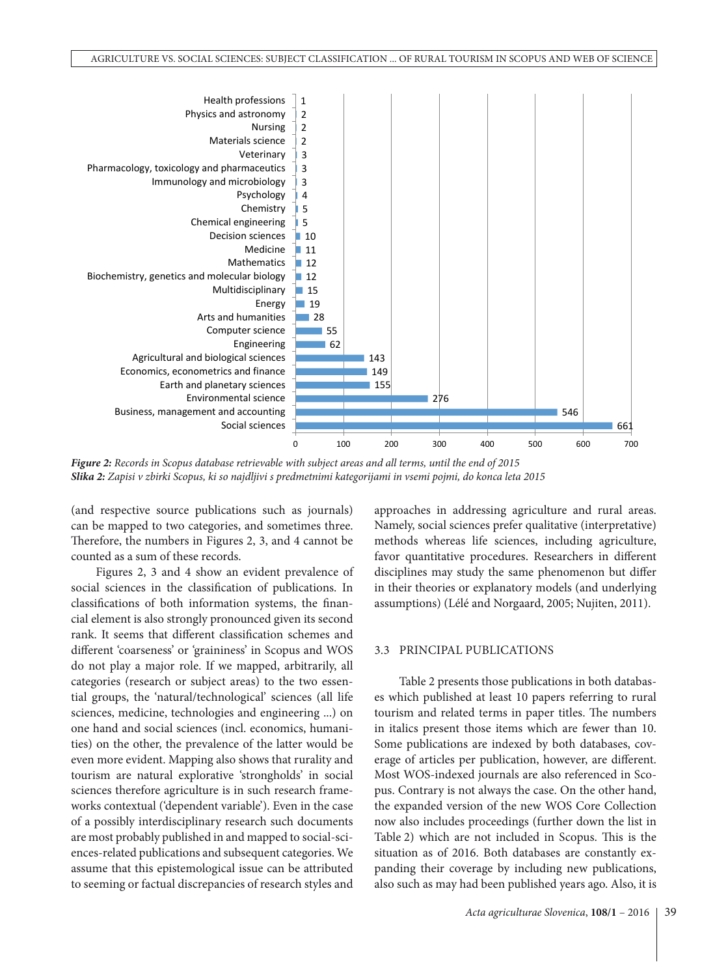

*Figure 2: Records in Scopus database retrievable with subject areas and all terms, until the end of 2015 Slika 2: Zapisi v zbirki Scopus, ki so najdljivi s predmetnimi kategorijami in vsemi pojmi, do konca leta 2015*

(and respective source publications such as journals) can be mapped to two categories, and sometimes three. Therefore, the numbers in Figures 2, 3, and 4 cannot be counted as a sum of these records.

Figures 2, 3 and 4 show an evident prevalence of social sciences in the classification of publications. In classifications of both information systems, the financial element is also strongly pronounced given its second rank. It seems that different classification schemes and different 'coarseness' or 'graininess' in Scopus and WOS do not play a major role. If we mapped, arbitrarily, all categories (research or subject areas) to the two essential groups, the 'natural/technological' sciences (all life sciences, medicine, technologies and engineering ...) on one hand and social sciences (incl. economics, humanities) on the other, the prevalence of the latter would be even more evident. Mapping also shows that rurality and tourism are natural explorative 'strongholds' in social sciences therefore agriculture is in such research frameworks contextual ('dependent variable'). Even in the case of a possibly interdisciplinary research such documents are most probably published in and mapped to social-sciences-related publications and subsequent categories. We assume that this epistemological issue can be attributed to seeming or factual discrepancies of research styles and approaches in addressing agriculture and rural areas. Namely, social sciences prefer qualitative (interpretative) methods whereas life sciences, including agriculture, favor quantitative procedures. Researchers in different disciplines may study the same phenomenon but differ in their theories or explanatory models (and underlying assumptions) (Lélé and Norgaard, 2005; Nujiten, 2011).

#### 3.3 PRINCIPAL PUBLICATIONS

Table 2 presents those publications in both databases which published at least 10 papers referring to rural tourism and related terms in paper titles. The numbers in italics present those items which are fewer than 10. Some publications are indexed by both databases, coverage of articles per publication, however, are different. Most WOS-indexed journals are also referenced in Scopus. Contrary is not always the case. On the other hand, the expanded version of the new WOS Core Collection now also includes proceedings (further down the list in Table 2) which are not included in Scopus. This is the situation as of 2016. Both databases are constantly expanding their coverage by including new publications, also such as may had been published years ago. Also, it is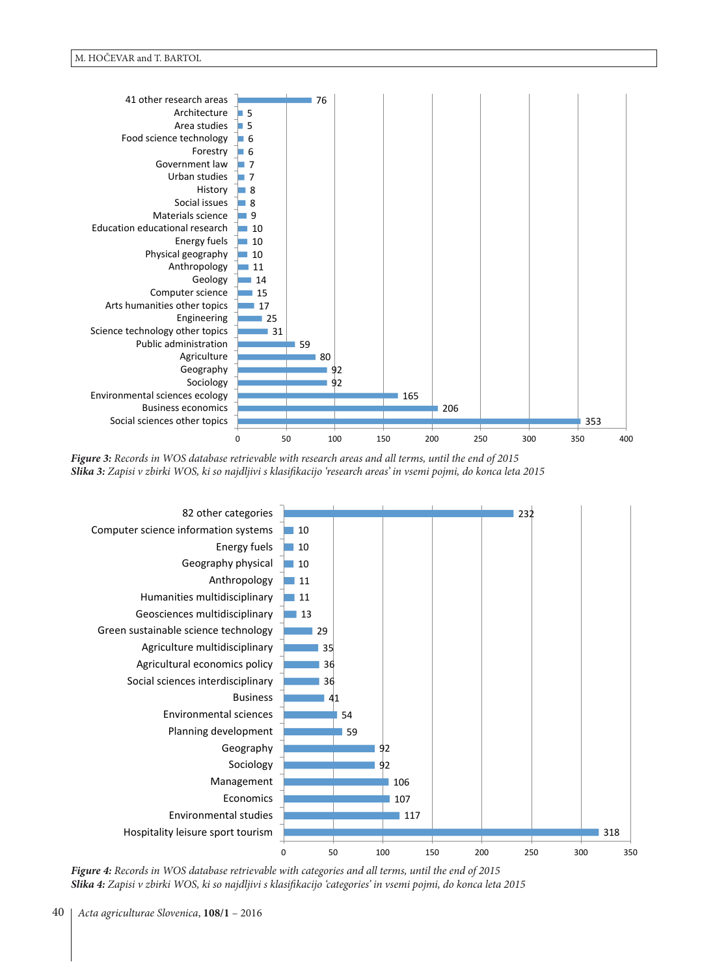

*Figure 3: Records in WOS database retrievable with research areas and all terms, until the end of 2015 Slika 3: Zapisi v zbirki WOS, ki so najdljivi s klasifikacijo 'research areas' in vsemi pojmi, do konca leta 2015*



*Figure 4: Records in WOS database retrievable with categories and all terms, until the end of 2015 Slika 4: Zapisi v zbirki WOS, ki so najdljivi s klasifikacijo 'categories' in vsemi pojmi, do konca leta 2015*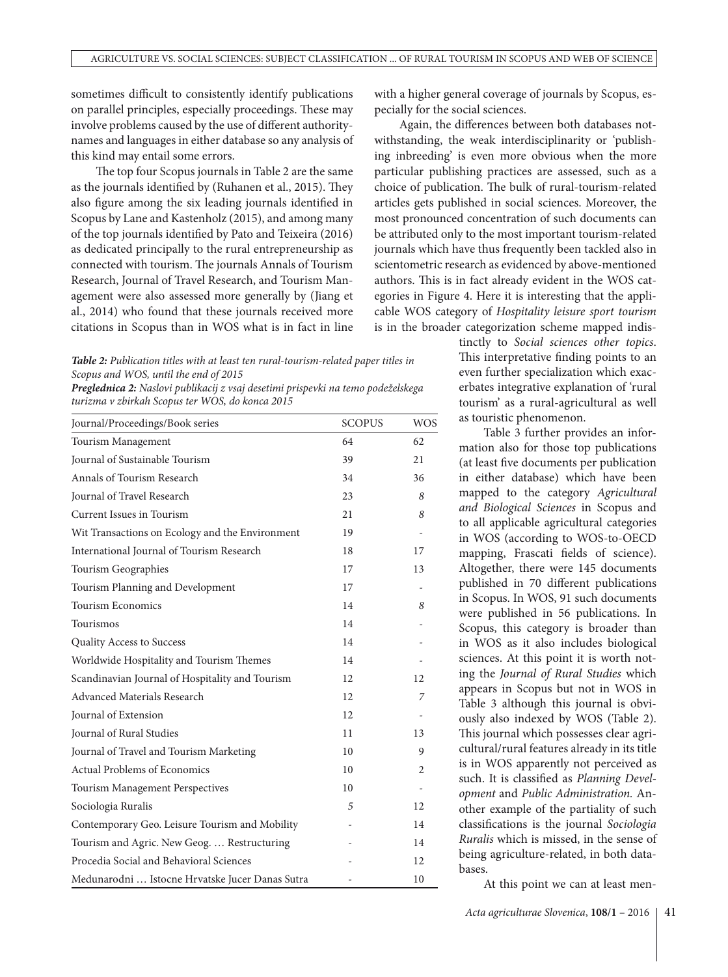sometimes difficult to consistently identify publications on parallel principles, especially proceedings. These may involve problems caused by the use of different authoritynames and languages in either database so any analysis of this kind may entail some errors.

The top four Scopus journals in Table 2 are the same as the journals identified by (Ruhanen et al., 2015). They also figure among the six leading journals identified in Scopus by Lane and Kastenholz (2015), and among many of the top journals identified by Pato and Teixeira (2016) as dedicated principally to the rural entrepreneurship as connected with tourism. The journals Annals of Tourism Research, Journal of Travel Research, and Tourism Management were also assessed more generally by (Jiang et al., 2014) who found that these journals received more citations in Scopus than in WOS what is in fact in line with a higher general coverage of journals by Scopus, especially for the social sciences.

Again, the differences between both databases notwithstanding, the weak interdisciplinarity or 'publishing inbreeding' is even more obvious when the more particular publishing practices are assessed, such as a choice of publication. The bulk of rural-tourism-related articles gets published in social sciences. Moreover, the most pronounced concentration of such documents can be attributed only to the most important tourism-related journals which have thus frequently been tackled also in scientometric research as evidenced by above-mentioned authors. This is in fact already evident in the WOS categories in Figure 4. Here it is interesting that the applicable WOS category of *Hospitality leisure sport tourism* is in the broader categorization scheme mapped indis-

*Table 2: Publication titles with at least ten rural-tourism-related paper titles in Scopus and WOS, until the end of 2015*

*Preglednica 2: Naslovi publikacij z vsaj desetimi prispevki na temo podeželskega turizma v zbirkah Scopus ter WOS, do konca 2015*

| Journal/Proceedings/Book series                 | <b>SCOPUS</b> | <b>WOS</b> |
|-------------------------------------------------|---------------|------------|
| Tourism Management                              | 64            | 62         |
| Journal of Sustainable Tourism                  | 39            | 21         |
| Annals of Tourism Research                      | 34            | 36         |
| Journal of Travel Research                      | 23            | 8          |
| Current Issues in Tourism                       | 21            | 8          |
| Wit Transactions on Ecology and the Environment | 19            |            |
| International Journal of Tourism Research       | 18            | 17         |
| Tourism Geographies                             | 17            | 13         |
| Tourism Planning and Development                | 17            |            |
| <b>Tourism Economics</b>                        | 14            | 8          |
| Tourismos                                       | 14            |            |
| Quality Access to Success                       | 14            |            |
| Worldwide Hospitality and Tourism Themes        | 14            |            |
| Scandinavian Journal of Hospitality and Tourism | 12            | 12         |
| Advanced Materials Research                     | 12            | 7          |
| Journal of Extension                            | 12            |            |
| Journal of Rural Studies                        | 11            | 13         |
| Journal of Travel and Tourism Marketing         | 10            | 9          |
| <b>Actual Problems of Economics</b>             | 10            | 2          |
| Tourism Management Perspectives                 | 10            |            |
| Sociologia Ruralis                              | 5             | 12         |
| Contemporary Geo. Leisure Tourism and Mobility  |               | 14         |
| Tourism and Agric. New Geog.  Restructuring     |               | 14         |
| Procedia Social and Behavioral Sciences         |               | 12         |
| Medunarodni  Istocne Hrvatske Jucer Danas Sutra |               | 10         |

tinctly to *Social sciences other topics*. This interpretative finding points to an even further specialization which exacerbates integrative explanation of 'rural tourism' as a rural-agricultural as well as touristic phenomenon.

Table 3 further provides an information also for those top publications (at least five documents per publication in either database) which have been mapped to the category *Agricultural and Biological Sciences* in Scopus and to all applicable agricultural categories in WOS (according to WOS-to-OECD mapping, Frascati fields of science). Altogether, there were 145 documents published in 70 different publications in Scopus. In WOS, 91 such documents were published in 56 publications. In Scopus, this category is broader than in WOS as it also includes biological sciences. At this point it is worth noting the *Journal of Rural Studies* which appears in Scopus but not in WOS in Table 3 although this journal is obviously also indexed by WOS (Table 2). This journal which possesses clear agricultural/rural features already in its title is in WOS apparently not perceived as such. It is classified as *Planning Development* and *Public Administration.* Another example of the partiality of such classifications is the journal *Sociologia Ruralis* which is missed, in the sense of being agriculture-related, in both databases.

At this point we can at least men-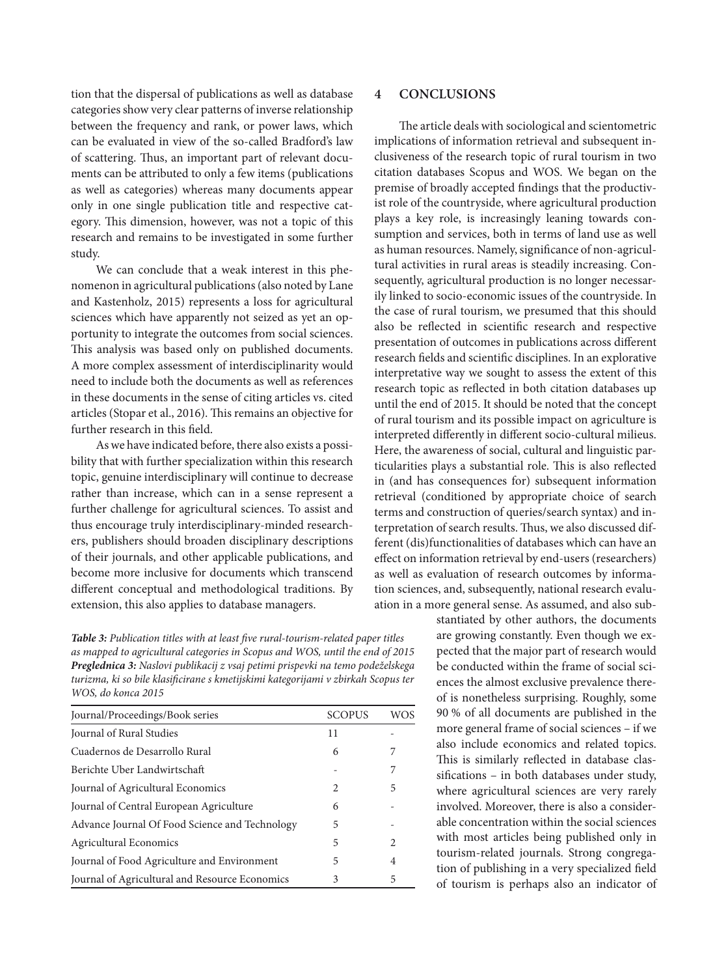tion that the dispersal of publications as well as database categories show very clear patterns of inverse relationship between the frequency and rank, or power laws, which can be evaluated in view of the so-called Bradford's law of scattering. Thus, an important part of relevant documents can be attributed to only a few items (publications as well as categories) whereas many documents appear only in one single publication title and respective category. This dimension, however, was not a topic of this research and remains to be investigated in some further study.

We can conclude that a weak interest in this phenomenon in agricultural publications (also noted by Lane and Kastenholz, 2015) represents a loss for agricultural sciences which have apparently not seized as yet an opportunity to integrate the outcomes from social sciences. This analysis was based only on published documents. A more complex assessment of interdisciplinarity would need to include both the documents as well as references in these documents in the sense of citing articles vs. cited articles (Stopar et al., 2016). This remains an objective for further research in this field.

As we have indicated before, there also exists a possibility that with further specialization within this research topic, genuine interdisciplinary will continue to decrease rather than increase, which can in a sense represent a further challenge for agricultural sciences. To assist and thus encourage truly interdisciplinary-minded researchers, publishers should broaden disciplinary descriptions of their journals, and other applicable publications, and become more inclusive for documents which transcend different conceptual and methodological traditions. By extension, this also applies to database managers.

*Table 3: Publication titles with at least five rural-tourism-related paper titles as mapped to agricultural categories in Scopus and WOS, until the end of 2015 Preglednica 3: Naslovi publikacij z vsaj petimi prispevki na temo podeželskega turizma, ki so bile klasificirane s kmetijskimi kategorijami v zbirkah Scopus ter WOS, do konca 2015*

| Journal/Proceedings/Book series                | <b>SCOPUS</b> | <b>WOS</b>     |
|------------------------------------------------|---------------|----------------|
| Journal of Rural Studies                       | 11            |                |
| Cuadernos de Desarrollo Rural                  | 6             | 7              |
| Berichte Uber Landwirtschaft                   |               | 7              |
| Journal of Agricultural Economics              | $\mathcal{L}$ | 5              |
| Journal of Central European Agriculture        | 6             |                |
| Advance Journal Of Food Science and Technology | 5             |                |
| <b>Agricultural Economics</b>                  | 5             | $\mathfrak{D}$ |
| Journal of Food Agriculture and Environment    | 5             | 4              |
| Journal of Agricultural and Resource Economics | 3             | 5              |

## **4 CONCLUSIONS**

The article deals with sociological and scientometric implications of information retrieval and subsequent inclusiveness of the research topic of rural tourism in two citation databases Scopus and WOS. We began on the premise of broadly accepted findings that the productivist role of the countryside, where agricultural production plays a key role, is increasingly leaning towards consumption and services, both in terms of land use as well as human resources. Namely, significance of non-agricultural activities in rural areas is steadily increasing. Consequently, agricultural production is no longer necessarily linked to socio-economic issues of the countryside. In the case of rural tourism, we presumed that this should also be reflected in scientific research and respective presentation of outcomes in publications across different research fields and scientific disciplines. In an explorative interpretative way we sought to assess the extent of this research topic as reflected in both citation databases up until the end of 2015. It should be noted that the concept of rural tourism and its possible impact on agriculture is interpreted differently in different socio-cultural milieus. Here, the awareness of social, cultural and linguistic particularities plays a substantial role. This is also reflected in (and has consequences for) subsequent information retrieval (conditioned by appropriate choice of search terms and construction of queries/search syntax) and interpretation of search results. Thus, we also discussed different (dis)functionalities of databases which can have an effect on information retrieval by end-users (researchers) as well as evaluation of research outcomes by information sciences, and, subsequently, national research evaluation in a more general sense. As assumed, and also sub-

> stantiated by other authors, the documents are growing constantly. Even though we expected that the major part of research would be conducted within the frame of social sciences the almost exclusive prevalence thereof is nonetheless surprising. Roughly, some 90 % of all documents are published in the more general frame of social sciences – if we also include economics and related topics. This is similarly reflected in database classifications – in both databases under study, where agricultural sciences are very rarely involved. Moreover, there is also a considerable concentration within the social sciences with most articles being published only in tourism-related journals. Strong congregation of publishing in a very specialized field of tourism is perhaps also an indicator of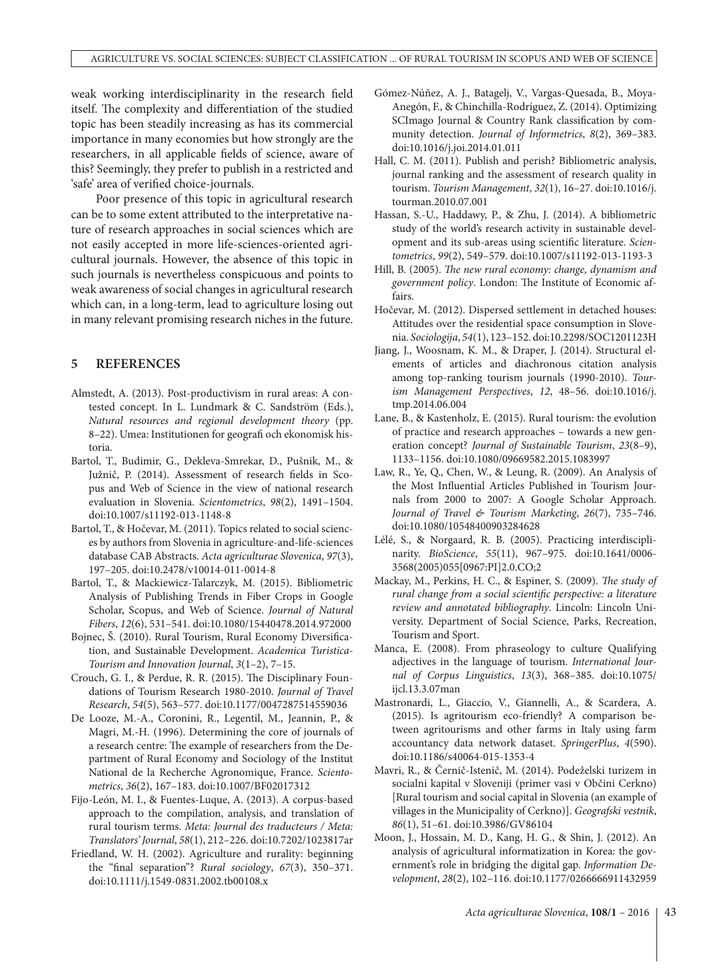weak working interdisciplinarity in the research field itself. The complexity and differentiation of the studied topic has been steadily increasing as has its commercial importance in many economies but how strongly are the researchers, in all applicable fields of science, aware of this? Seemingly, they prefer to publish in a restricted and 'safe' area of verified choice-journals.

Poor presence of this topic in agricultural research can be to some extent attributed to the interpretative nature of research approaches in social sciences which are not easily accepted in more life-sciences-oriented agricultural journals. However, the absence of this topic in such journals is nevertheless conspicuous and points to weak awareness of social changes in agricultural research which can, in a long-term, lead to agriculture losing out in many relevant promising research niches in the future.

#### **5 REFERENCES**

- Almstedt, A. (2013). Post-productivism in rural areas: A contested concept. In L. Lundmark & C. Sandström (Eds.), *Natural resources and regional development theory* (pp. 8–22). Umea: Institutionen for geografi och ekonomisk historia.
- Bartol, T., Budimir, G., Dekleva-Smrekar, D., Pušnik, M., & Južnič, P. (2014). Assessment of research fields in Scopus and Web of Science in the view of national research evaluation in Slovenia. *Scientometrics*, *98*(2), 1491–1504. doi:[10.1007/s11192-013-1148-8](https://doi.org/10.1007/s11192-013-1148-8)
- Bartol, T., & Hočevar, M. (2011). Topics related to social sciences by authors from Slovenia in agriculture-and-life-sciences database CAB Abstracts. *Acta agriculturae Slovenica*, *97*(3), 197–205. doi[:10.2478/v10014-011-0014-8](https://doi.org/10.2478/v10014-011-0014-8)
- Bartol, T., & Mackiewicz-Talarczyk, M. (2015). Bibliometric Analysis of Publishing Trends in Fiber Crops in Google Scholar, Scopus, and Web of Science. *Journal of Natural Fibers*, *12*(6), 531–541. doi:[10.1080/15440478.2014.972000](https://doi.org/10.1080/15440478.2014.972000)
- Bojnec, Š. (2010). Rural Tourism, Rural Economy Diversification, and Sustainable Development. *Academica Turistica-Tourism and Innovation Journal*, *3*(1–2), 7–15.
- Crouch, G. I., & Perdue, R. R. (2015). The Disciplinary Foundations of Tourism Research 1980-2010. *Journal of Travel Research*, *54*(5), 563–577. doi[:10.1177/0047287514559036](https://doi.org/10.1177/0047287514559036)
- De Looze, M.-A., Coronini, R., Legentil, M., Jeannin, P., & Magri, M.-H. (1996). Determining the core of journals of a research centre: The example of researchers from the Department of Rural Economy and Sociology of the Institut National de la Recherche Agronomique, France. *Scientometrics*, *36*(2), 167–183. doi[:10.1007/BF02017312](https://doi.org/10.1007/BF02017312)
- Fijo-León, M. I., & Fuentes-Luque, A. (2013). A corpus-based approach to the compilation, analysis, and translation of rural tourism terms. *Meta: Journal des traducteurs / Meta: Translators' Journal*, *58*(1), 212–226. doi:[10.7202/1023817ar](https://doi.org/10.7202/1023817ar)
- Friedland, W. H. (2002). Agriculture and rurality: beginning the "final separation"? *Rural sociology*, *67*(3), 350–371. doi:[10.1111/j.1549-0831.2002.tb00108.x](https://doi.org/10.1111/j.1549-0831.2002.tb00108.x)
- Gómez-Núñez, A. J., Batagelj, V., Vargas-Quesada, B., Moya-Anegón, F., & Chinchilla-Rodríguez, Z. (2014). Optimizing SCImago Journal & Country Rank classification by community detection. *Journal of Informetrics*, *8*(2), 369–383. doi:[10.1016/j.joi.2014.01.011](https://doi.org/10.1016/j.joi.2014.01.011)
- Hall, C. M. (2011). Publish and perish? Bibliometric analysis, journal ranking and the assessment of research quality in tourism. *Tourism Management*, *32*(1), 16–27. doi[:10.1016/j.](https://doi.org/10.1016/j.tourman.2010.07.001) [tourman.2010.07.001](https://doi.org/10.1016/j.tourman.2010.07.001)
- Hassan, S.-U., Haddawy, P., & Zhu, J. (2014). A bibliometric study of the world's research activity in sustainable development and its sub-areas using scientific literature. *Scientometrics*, *99*(2), 549–579. doi[:10.1007/s11192-013-1193-3](https://doi.org/10.1007/s11192-013-1193-3)
- Hill, B. (2005). *The new rural economy: change, dynamism and government policy*. London: The Institute of Economic affairs.
- Hočevar, M. (2012). Dispersed settlement in detached houses: Attitudes over the residential space consumption in Slovenia. *Sociologija*, *54*(1), 123–152. doi[:10.2298/SOC1201123H](https://doi.org/10.2298/SOC1201123H)
- Jiang, J., Woosnam, K. M., & Draper, J. (2014). Structural elements of articles and diachronous citation analysis among top-ranking tourism journals (1990-2010). *Tourism Management Perspectives*, *12*, 48–56. doi[:10.1016/j.](https://doi.org/10.1016/j.tmp.2014.06.004) [tmp.2014.06.004](https://doi.org/10.1016/j.tmp.2014.06.004)
- Lane, B., & Kastenholz, E. (2015). Rural tourism: the evolution of practice and research approaches – towards a new generation concept? *Journal of Sustainable Tourism*, *23*(8–9), 1133–1156. doi[:10.1080/09669582.2015.1083997](https://doi.org/10.1080/09669582.2015.1083997)
- Law, R., Ye, Q., Chen, W., & Leung, R. (2009). An Analysis of the Most Influential Articles Published in Tourism Journals from 2000 to 2007: A Google Scholar Approach. *Journal of Travel & Tourism Marketing*, *26*(7), 735–746. doi:[10.1080/10548400903284628](https://doi.org/10.1080/10548400903284628)
- Lélé, S., & Norgaard, R. B. (2005). Practicing interdisciplinarity. *BioScience*, *55*(11), 967–975. doi:[10.1641/0006-](https://doi.org/10.1641/0006-3568(2005)055[0967:PI]2.0.CO;2) [3568\(2005\)055\[0967:PI\]2.0.CO;2](https://doi.org/10.1641/0006-3568(2005)055[0967:PI]2.0.CO;2)
- Mackay, M., Perkins, H. C., & Espiner, S. (2009). *The study of rural change from a social scientific perspective: a literature review and annotated bibliography*. Lincoln: Lincoln University. Department of Social Science, Parks, Recreation, Tourism and Sport.
- Manca, E. (2008). From phraseology to culture Qualifying adjectives in the language of tourism. *International Journal of Corpus Linguistics*, *13*(3), 368–385. doi[:10.1075/](https://doi.org/10.1075/ijcl.13.3.07man) [ijcl.13.3.07man](https://doi.org/10.1075/ijcl.13.3.07man)
- Mastronardi, L., Giaccio, V., Giannelli, A., & Scardera, A. (2015). Is agritourism eco-friendly? A comparison between agritourisms and other farms in Italy using farm accountancy data network dataset. *SpringerPlus*, *4*(590). doi:[10.1186/s40064-015-1353-4](https://doi.org/10.1186/s40064-015-1353-4)
- Mavri, R., & Černič-Istenič, M. (2014). Podeželski turizem in socialni kapital v Sloveniji (primer vasi v Občini Cerkno) [Rural tourism and social capital in Slovenia (an example of villages in the Municipality of Cerkno)]. *Geografski vestnik*, *86*(1), 51–61. doi[:10.3986/GV86104](https://doi.org/10.3986/GV86104)
- Moon, J., Hossain, M. D., Kang, H. G., & Shin, J. (2012). An analysis of agricultural informatization in Korea: the government's role in bridging the digital gap. *Information Development*, *28*(2), 102–116. doi[:10.1177/0266666911432959](https://doi.org/10.1177/0266666911432959)